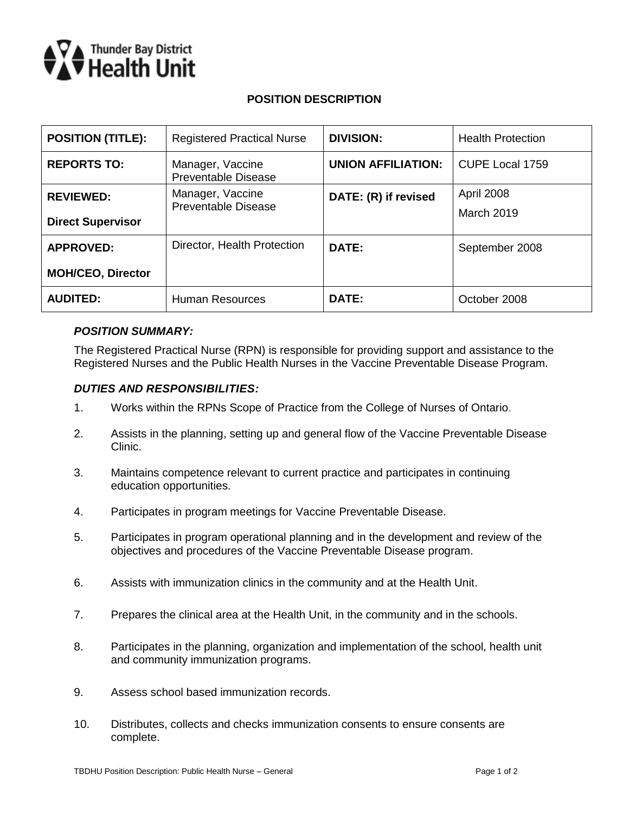

## **POSITION DESCRIPTION**

| <b>POSITION (TITLE):</b> | <b>Registered Practical Nurse</b>              | <b>DIVISION:</b>          | <b>Health Protection</b> |
|--------------------------|------------------------------------------------|---------------------------|--------------------------|
| <b>REPORTS TO:</b>       | Manager, Vaccine<br><b>Preventable Disease</b> | <b>UNION AFFILIATION:</b> | <b>CUPE Local 1759</b>   |
| <b>REVIEWED:</b>         | Manager, Vaccine                               | DATE: (R) if revised      | April 2008               |
| <b>Direct Supervisor</b> | <b>Preventable Disease</b>                     |                           | <b>March 2019</b>        |
| <b>APPROVED:</b>         | Director, Health Protection                    | DATE:                     | September 2008           |
| <b>MOH/CEO, Director</b> |                                                |                           |                          |
| <b>AUDITED:</b>          | <b>Human Resources</b>                         | DATE:                     | October 2008             |

### *POSITION SUMMARY:*

The Registered Practical Nurse (RPN) is responsible for providing support and assistance to the Registered Nurses and the Public Health Nurses in the Vaccine Preventable Disease Program.

### *DUTIES AND RESPONSIBILITIES:*

- 1. Works within the RPNs Scope of Practice from the College of Nurses of Ontario.
- 2. Assists in the planning, setting up and general flow of the Vaccine Preventable Disease Clinic.
- 3. Maintains competence relevant to current practice and participates in continuing education opportunities.
- 4. Participates in program meetings for Vaccine Preventable Disease.
- 5. Participates in program operational planning and in the development and review of the objectives and procedures of the Vaccine Preventable Disease program.
- 6. Assists with immunization clinics in the community and at the Health Unit.
- 7. Prepares the clinical area at the Health Unit, in the community and in the schools.
- 8. Participates in the planning, organization and implementation of the school, health unit and community immunization programs.
- 9. Assess school based immunization records.
- 10. Distributes, collects and checks immunization consents to ensure consents are complete.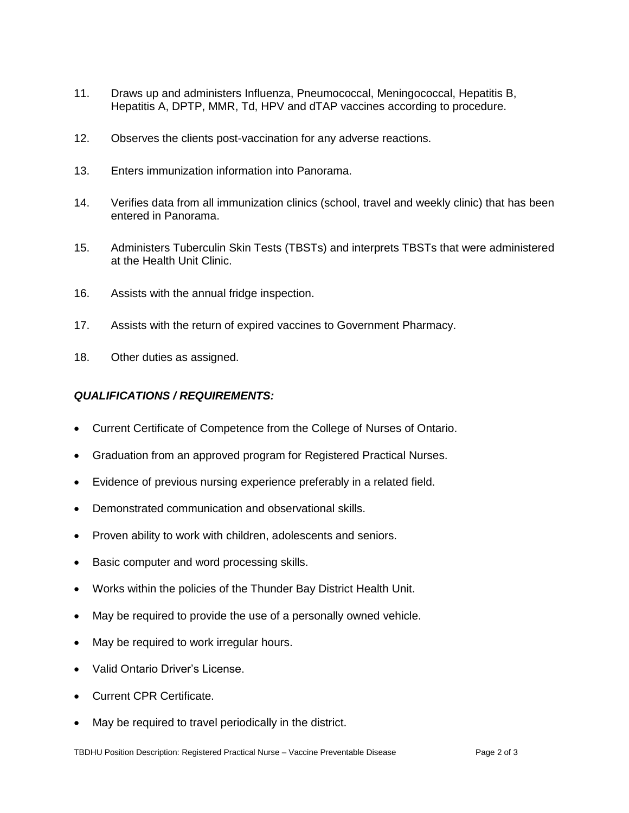- 11. Draws up and administers Influenza, Pneumococcal, Meningococcal, Hepatitis B, Hepatitis A, DPTP, MMR, Td, HPV and dTAP vaccines according to procedure.
- 12. Observes the clients post-vaccination for any adverse reactions.
- 13. Enters immunization information into Panorama.
- 14. Verifies data from all immunization clinics (school, travel and weekly clinic) that has been entered in Panorama.
- 15. Administers Tuberculin Skin Tests (TBSTs) and interprets TBSTs that were administered at the Health Unit Clinic.
- 16. Assists with the annual fridge inspection.
- 17. Assists with the return of expired vaccines to Government Pharmacy.
- 18. Other duties as assigned.

### *QUALIFICATIONS / REQUIREMENTS:*

- Current Certificate of Competence from the College of Nurses of Ontario.
- Graduation from an approved program for Registered Practical Nurses.
- Evidence of previous nursing experience preferably in a related field.
- Demonstrated communication and observational skills.
- Proven ability to work with children, adolescents and seniors.
- Basic computer and word processing skills.
- Works within the policies of the Thunder Bay District Health Unit.
- May be required to provide the use of a personally owned vehicle.
- May be required to work irregular hours.
- Valid Ontario Driver's License.
- Current CPR Certificate.
- May be required to travel periodically in the district.